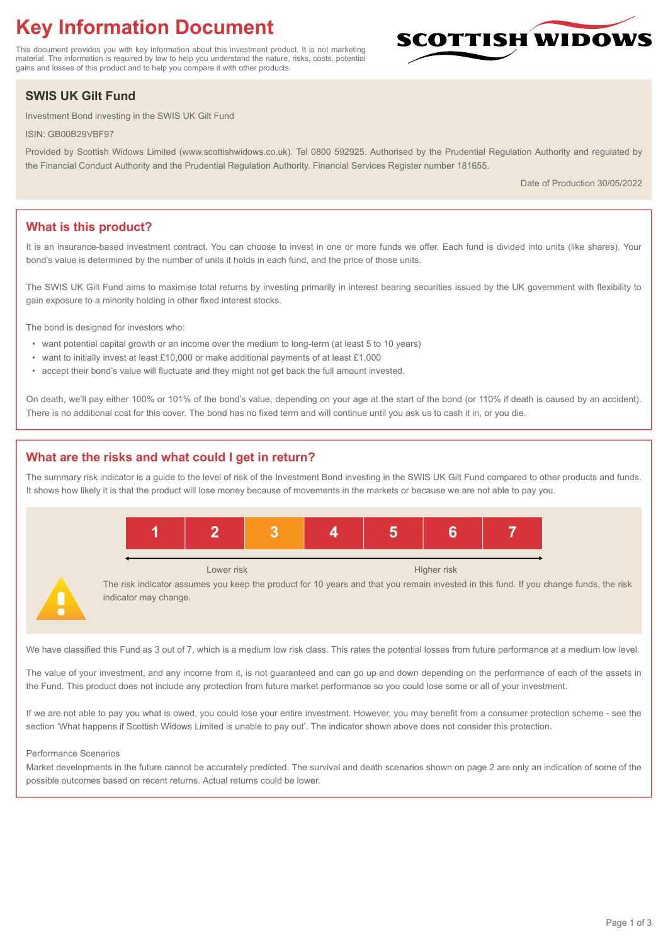# **Key Information Document**

This document provides you with key information about this investment product. It is not marketing material. The information is required by law to help you understand the nature, risks, costs, potential gains and losses of this product and to help you compare it with other products.

# **SWIS UK Gilt Fund**

Investment Bond investing in the SWIS UK Gilt Fund

ISIN: GB00B29VBF97

Provided by Scottish Widows Limited (www.scottishwidows.co.uk). Tel 0800 592925. Authorised by the Prudential Regulation Authority and regulated by the Financial Conduct Authority and the Prudential Regulation Authority. Financial Services Register number 181655.

Date of Production 30/05/2022

**SCOTTISH WIDOW** 

# **What is this product?**

It is an insurance-based investment contract. You can choose to invest in one or more funds we offer. Each fund is divided into units (like shares). Your bond's value is determined by the number of units it holds in each fund, and the price of those units.

The SWIS UK Gilt Fund aims to maximise total returns by investing primarily in interest bearing securities issued by the UK government with flexibility to gain exposure to a minority holding in other fixed interest stocks.

The bond is designed for investors who:

- want potential capital growth or an income over the medium to long-term (at least 5 to 10 years)
- want to initially invest at least £10,000 or make additional payments of at least £1,000
- accept their bond's value will fluctuate and they might not get back the full amount invested.

On death, we'll pay either 100% or 101% of the bond's value, depending on your age at the start of the bond (or 110% if death is caused by an accident). There is no additional cost for this cover. The bond has no fixed term and will continue until you ask us to cash it in, or you die.

# **What are the risks and what could I get in return?**

The summary risk indicator is a guide to the level of risk of the Investment Bond investing in the SWIS UK Gilt Fund compared to other products and funds. It shows how likely it is that the product will lose money because of movements in the markets or because we are not able to pay you.



We have classified this Fund as 3 out of 7, which is a medium low risk class. This rates the potential losses from future performance at a medium low level.

The value of your investment, and any income from it, is not guaranteed and can go up and down depending on the performance of each of the assets in the Fund. This product does not include any protection from future market performance so you could lose some or all of your investment.

If we are not able to pay you what is owed, you could lose your entire investment. However, you may benefit from a consumer protection scheme - see the section 'What happens if Scottish Widows Limited is unable to pay out'. The indicator shown above does not consider this protection.

#### Performance Scenarios

Market developments in the future cannot be accurately predicted. The survival and death scenarios shown on page 2 are only an indication of some of the possible outcomes based on recent returns. Actual returns could be lower.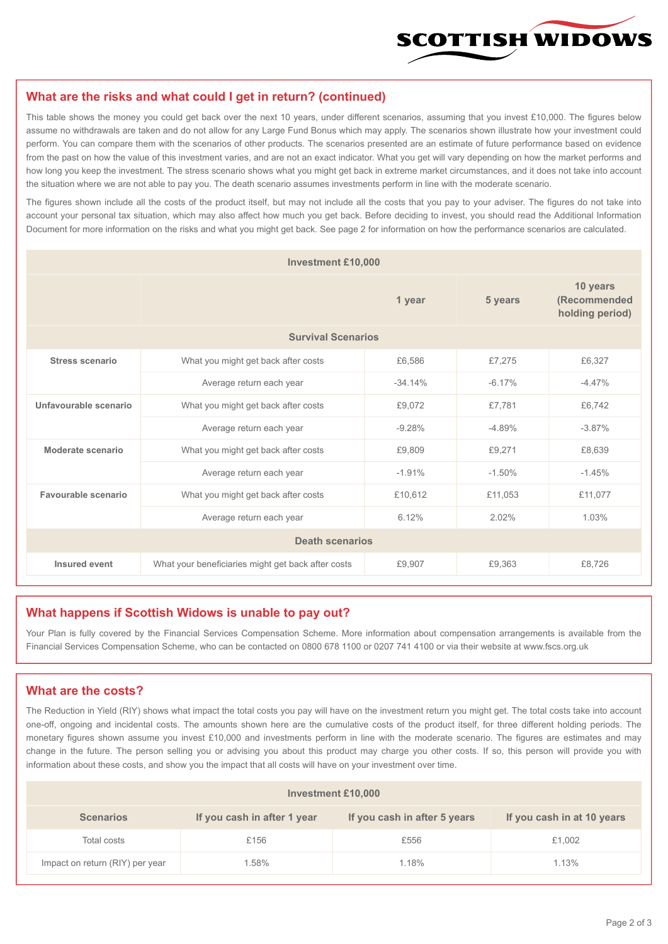

#### **What are the risks and what could I get in return? (continued)**

This table shows the money you could get back over the next 10 years, under different scenarios, assuming that you invest £10,000. The figures below assume no withdrawals are taken and do not allow for any Large Fund Bonus which may apply. The scenarios shown illustrate how your investment could perform. You can compare them with the scenarios of other products. The scenarios presented are an estimate of future performance based on evidence from the past on how the value of this investment varies, and are not an exact indicator. What you get will vary depending on how the market performs and how long you keep the investment. The stress scenario shows what you might get back in extreme market circumstances, and it does not take into account the situation where we are not able to pay you. The death scenario assumes investments perform in line with the moderate scenario.

The figures shown include all the costs of the product itself, but may not include all the costs that you pay to your adviser. The figures do not take into account your personal tax situation, which may also affect how much you get back. Before deciding to invest, you should read the Additional Information Document for more information on the risks and what you might get back. See page 2 for information on how the performance scenarios are calculated.

| <b>Investment £10,000</b> |                                                    |           |                                             |          |  |  |
|---------------------------|----------------------------------------------------|-----------|---------------------------------------------|----------|--|--|
|                           |                                                    | 5 years   | 10 years<br>(Recommended<br>holding period) |          |  |  |
| <b>Survival Scenarios</b> |                                                    |           |                                             |          |  |  |
| <b>Stress scenario</b>    | £6,586<br>What you might get back after costs      |           | £7,275                                      | £6,327   |  |  |
|                           | Average return each year                           | $-34.14%$ | $-6.17%$                                    | $-4.47%$ |  |  |
| Unfavourable scenario     | What you might get back after costs<br>£9,072      |           | £7,781                                      | £6,742   |  |  |
|                           | Average return each year                           | $-9.28%$  | $-4.89%$                                    | $-3.87%$ |  |  |
| Moderate scenario         | What you might get back after costs                | £9,809    | £9,271                                      | £8,639   |  |  |
|                           | Average return each year                           | $-1.91%$  | $-1.50%$                                    | $-1.45%$ |  |  |
| Favourable scenario       | What you might get back after costs                | £10,612   | £11,053                                     | £11,077  |  |  |
|                           | Average return each year                           |           | 2.02%                                       | 1.03%    |  |  |
| <b>Death scenarios</b>    |                                                    |           |                                             |          |  |  |
| Insured event             | What your beneficiaries might get back after costs | £9,907    | £9.363                                      | £8.726   |  |  |

#### **What happens if Scottish Widows is unable to pay out?**

Your Plan is fully covered by the Financial Services Compensation Scheme. More information about compensation arrangements is available from the Financial Services Compensation Scheme, who can be contacted on 0800 678 1100 or 0207 741 4100 or via their website at www.fscs.org.uk

# **What are the costs?**

The Reduction in Yield (RIY) shows what impact the total costs you pay will have on the investment return you might get. The total costs take into account one-off, ongoing and incidental costs. The amounts shown here are the cumulative costs of the product itself, for three different holding periods. The monetary figures shown assume you invest £10,000 and investments perform in line with the moderate scenario. The figures are estimates and may change in the future. The person selling you or advising you about this product may charge you other costs. If so, this person will provide you with information about these costs, and show you the impact that all costs will have on your investment over time.

| <b>Investment £10,000</b>       |                             |                              |                            |  |  |  |
|---------------------------------|-----------------------------|------------------------------|----------------------------|--|--|--|
| <b>Scenarios</b>                | If you cash in after 1 year | If you cash in after 5 years | If you cash in at 10 years |  |  |  |
| Total costs                     | £156                        | £556                         | £1,002                     |  |  |  |
| Impact on return (RIY) per year | .58%                        | 1.18%                        | 1.13%                      |  |  |  |